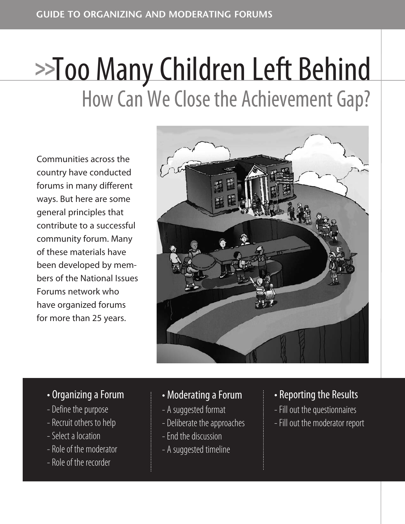# How Can We Close the Achievement Gap? **>>**Too ManyChildren Left Behind

Communities across the country have conducted forums in many different ways. But here are some general principles that contribute to a successful community forum. Many of these materials have been developed by members of the National Issues Forums network who have organized forums for more than 25 years.



#### • Organizing a Forum

- Define the purpose
- Recruit others to help
- Select a location
- Role of the moderator
- Role of the recorder

#### • Moderating a Forum

- A suggested format
- Deliberate the approaches
- End the discussion
- A suggested timeline
- Reporting the Results
- Fill out the questionnaires
- Fill out the moderator report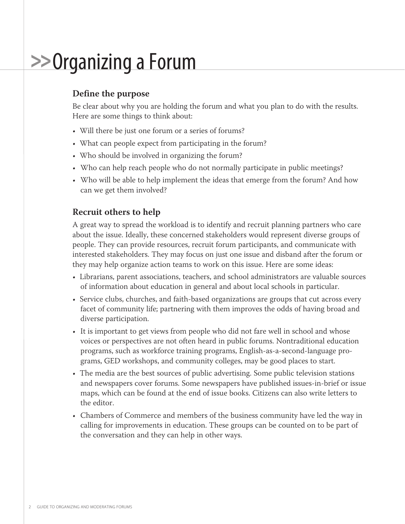### **>>Organizing a Forum**

#### **Define the purpose**

Be clear about why you are holding the forum and what you plan to do with the results. Here are some things to think about:

- Will there be just one forum or a series of forums?
- What can people expect from participating in the forum?
- Who should be involved in organizing the forum?
- Who can help reach people who do not normally participate in public meetings?
- Who will be able to help implement the ideas that emerge from the forum? And how can we get them involved?

#### **Recruit others to help**

A great way to spread the workload is to identify and recruit planning partners who care about the issue. Ideally, these concerned stakeholders would represent diverse groups of people. They can provide resources, recruit forum participants, and communicate with interested stakeholders. They may focus on just one issue and disband after the forum or they may help organize action teams to work on this issue. Here are some ideas:

- Librarians, parent associations, teachers, and school administrators are valuable sources of information about education in general and about local schools in particular.
- Service clubs, churches, and faith-based organizations are groups that cut across every facet of community life; partnering with them improves the odds of having broad and diverse participation.
- It is important to get views from people who did not fare well in school and whose voices or perspectives are not often heard in public forums. Nontraditional education programs, such as workforce training programs, English-as-a-second-language programs, GED workshops, and community colleges, may be good places to start.
- The media are the best sources of public advertising. Some public television stations and newspapers cover forums. Some newspapers have published issues-in-brief or issue maps, which can be found at the end of issue books. Citizens can also write letters to the editor.
- Chambers of Commerce and members of the business community have led the way in calling for improvements in education. These groups can be counted on to be part of the conversation and they can help in other ways.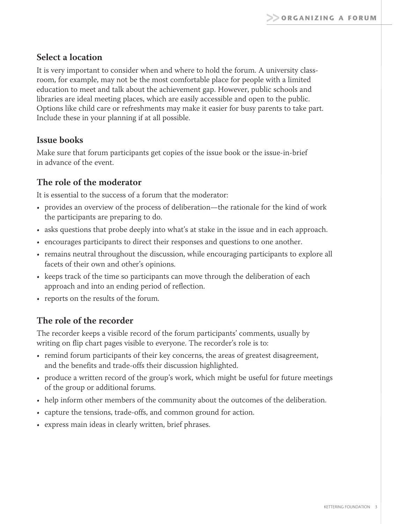#### **Select a location**

It is very important to consider when and where to hold the forum. A university classroom, for example, may not be the most comfortable place for people with a limited education to meet and talk about the achievement gap. However, public schools and libraries are ideal meeting places, which are easily accessible and open to the public. Options like child care or refreshments may make it easier for busy parents to take part. Include these in your planning if at all possible.

#### **Issue books**

Make sure that forum participants get copies of the issue book or the issue-in-brief in advance of the event.

#### **The role of the moderator**

It is essential to the success of a forum that the moderator:

- provides an overview of the process of deliberation—the rationale for the kind of work the participants are preparing to do.
- asks questions that probe deeply into what's at stake in the issue and in each approach.
- encourages participants to direct their responses and questions to one another.
- remains neutral throughout the discussion, while encouraging participants to explore all facets of their own and other's opinions.
- keeps track of the time so participants can move through the deliberation of each approach and into an ending period of reflection.
- reports on the results of the forum.

#### **The role of the recorder**

The recorder keeps a visible record of the forum participants' comments, usually by writing on flip chart pages visible to everyone. The recorder's role is to:

- remind forum participants of their key concerns, the areas of greatest disagreement, and the benefits and trade-offs their discussion highlighted.
- produce a written record of the group's work, which might be useful for future meetings of the group or additional forums.
- help inform other members of the community about the outcomes of the deliberation.
- capture the tensions, trade-offs, and common ground for action.
- express main ideas in clearly written, brief phrases.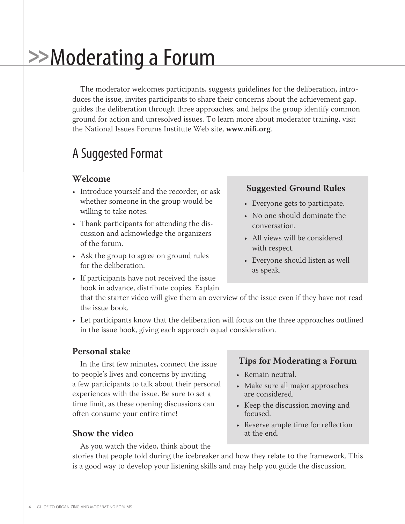## **>>**Moderating a Forum

The moderator welcomes participants, suggests guidelines for the deliberation, introduces the issue, invites participants to share their concerns about the achievement gap, guides the deliberation through three approaches, and helps the group identify common ground for action and unresolved issues. To learn more about moderator training, visit the National Issues Forums Institute Web site, **www.nifi.org**.

### A Suggested Format

#### **Welcome**

- Introduce yourself and the recorder, or ask whether someone in the group would be willing to take notes.
- Thank participants for attending the discussion and acknowledge the organizers of the forum.
- Ask the group to agree on ground rules for the deliberation.

#### **Suggested Ground Rules**

- Everyone gets to participate.
- No one should dominate the conversation.
- All views will be considered with respect.
- Everyone should listen as well as speak.
- If participants have not received the issue book in advance, distribute copies. Explain
	- that the starter video will give them an overview of the issue even if they have not read the issue book.
- Let participants know that the deliberation will focus on the three approaches outlined in the issue book, giving each approach equal consideration.

#### **Personal stake**

In the first few minutes, connect the issue to people's lives and concerns by inviting a few participants to talk about their personal experiences with the issue. Be sure to set a time limit, as these opening discussions can often consume your entire time!

#### **Show the video**

As you watch the video, think about the

#### **Tips for Moderating a Forum**

- Remain neutral.
- Make sure all major approaches are considered.
- Keep the discussion moving and focused.
- Reserve ample time for reflection at the end.

stories that people told during the icebreaker and how they relate to the framework. This is a good way to develop your listening skills and may help you guide the discussion.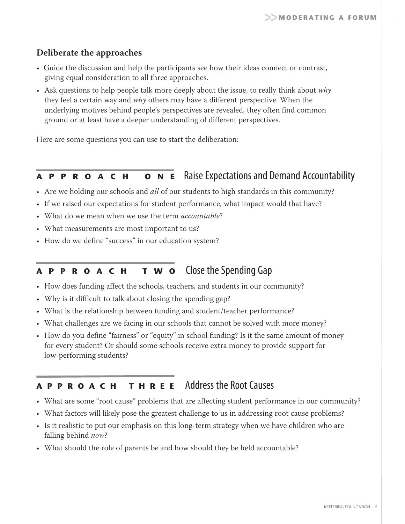#### **Deliberate the approaches**

- Guide the discussion and help the participants see how their ideas connect or contrast, giving equal consideration to all three approaches.
- Ask questions to help people talk more deeply about the issue, to really think about why they feel a certain way and why others may have a different perspective. When the underlying motives behind people's perspectives are revealed, they often find common ground or at least have a deeper understanding of different perspectives.

Here are some questions you can use to start the deliberation:

#### **<sup>A</sup> <sup>P</sup> <sup>P</sup> <sup>R</sup> <sup>O</sup> <sup>A</sup> <sup>C</sup> <sup>H</sup> <sup>O</sup> <sup>N</sup> <sup>E</sup>** RaiseExpectationsand Demand Accountability

- Are we holding our schools and *all* of our students to high standards in this community?
- If we raised our expectations for student performance, what impact would that have?
- What do we mean when we use the term *accountable*?
- What measurements are most important to us?
- How do we define "success" in our education system?

#### **<sup>A</sup> <sup>P</sup> <sup>P</sup> <sup>R</sup> <sup>O</sup> <sup>A</sup> <sup>C</sup> <sup>H</sup> <sup>T</sup> <sup>W</sup> <sup>O</sup>** ClosetheSpending Gap

- How does funding affect the schools, teachers, and students in our community?
- Why is it difficult to talk about closing the spending gap?
- What is the relationship between funding and student/teacher performance?
- What challenges are we facing in our schools that cannot be solved with more money?
- How do you define "fairness" or "equity" in school funding? Is it the same amount of money for every student? Or should some schools receive extra money to provide support for low-performing students?

#### **<sup>A</sup> <sup>P</sup> <sup>P</sup> <sup>R</sup> <sup>O</sup> <sup>A</sup> <sup>C</sup> <sup>H</sup> <sup>T</sup> <sup>H</sup> <sup>R</sup> <sup>E</sup> <sup>E</sup>** Address the RootCauses

- What are some "root cause" problems that are affecting student performance in our community?
- What factors will likely pose the greatest challenge to us in addressing root cause problems?
- Is it realistic to put our emphasis on this long-term strategy when we have children who are falling behind now?
- What should the role of parents be and how should they be held accountable?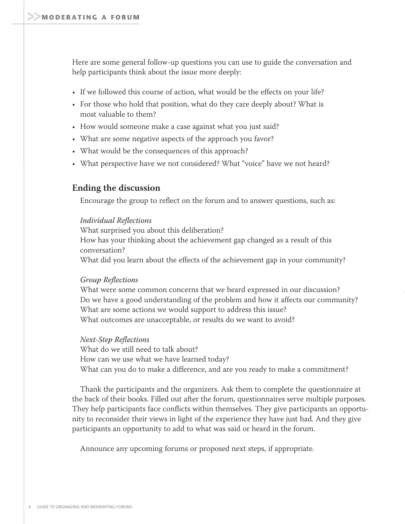Here are some general follow-up questions you can use to guide the conversation and help participants think about the issue more deeply:

- If we followed this course of action, what would be the effects on your life?
- For those who hold that position, what do they care deeply about? What is most valuable to them?
- How would someone make a case against what you just said?
- What are some negative aspects of the approach you favor?
- What would be the consequences of this approach?
- What perspective have we not considered? What "voice" have we not heard?

#### **Ending the discussion**

Encourage the group to reflect on the forum and to answer questions, such as:

#### Individual Reflections

What surprised you about this deliberation? How has your thinking about the achievement gap changed as a result of this conversation? What did you learn about the effects of the achievement gap in your community?

#### Group Reflections

What were some common concerns that we heard expressed in our discussion? Do we have a good understanding of the problem and how it affects our community? What are some actions we would support to address this issue? What outcomes are unacceptable, or results do we want to avoid?

#### Next-Step Reflections

What do we still need to talk about? How can we use what we have learned today? What can you do to make a difference, and are you ready to make a commitment?

Thank the participants and the organizers. Ask them to complete the questionnaire at the back of their books. Filled out after the forum, questionnaires serve multiple purposes. They help participants face conflicts within themselves. They give participants an opportunity to reconsider their views in light of the experience they have just had. And they give participants an opportunity to add to what was said or heard in the forum.

Announce any upcoming forums or proposed next steps, if appropriate.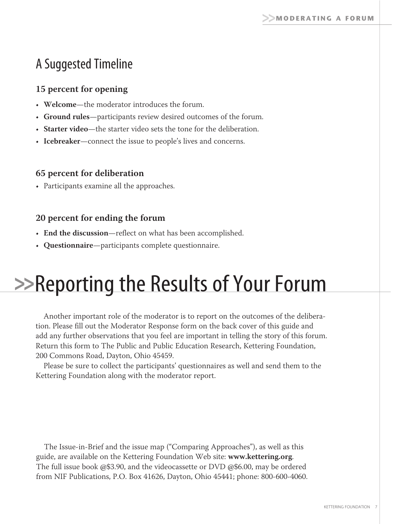### A Suggested Timeline

#### **15 percent for opening**

- **Welcome**—the moderator introduces the forum.
- **Ground rules**—participants review desired outcomes of the forum.
- **Starter video**—the starter video sets the tone for the deliberation.
- **Icebreaker**—connect the issue to people's lives and concerns.

#### **65 percent for deliberation**

• Participants examine all the approaches.

#### **20 percent for ending the forum**

- **End the discussion**—reflect on what has been accomplished.
- **Questionnaire**—participants complete questionnaire.

## **>>Reporting the Results of Your Forum**

Another important role of the moderator is to report on the outcomes of the deliberation. Please fill out the Moderator Response form on the back cover of this guide and add any further observations that you feel are important in telling the story of this forum. Return this form to The Public and Public Education Research, Kettering Foundation, 200 Commons Road, Dayton, Ohio 45459.

Please be sure to collect the participants' questionnaires as well and send them to the Kettering Foundation along with the moderator report.

The Issue-in-Brief and the issue map ("Comparing Approaches"), as well as this guide, are available on the Kettering Foundation Web site: **www.kettering.org**. The full issue book @\$3.90, and the videocassette or DVD @\$6.00, may be ordered from NIF Publications, P.O. Box 41626, Dayton, Ohio 45441; phone: 800-600-4060.